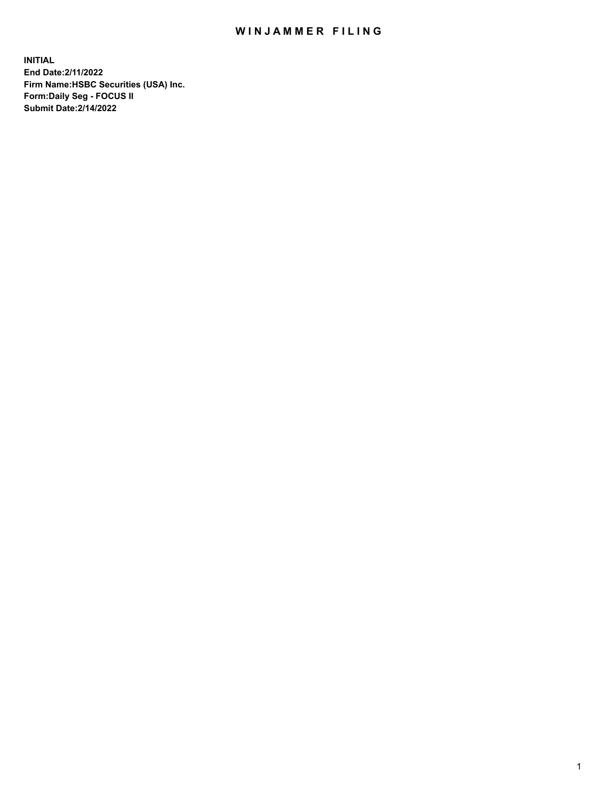## WIN JAMMER FILING

**INITIAL End Date:2/11/2022 Firm Name:HSBC Securities (USA) Inc. Form:Daily Seg - FOCUS II Submit Date:2/14/2022**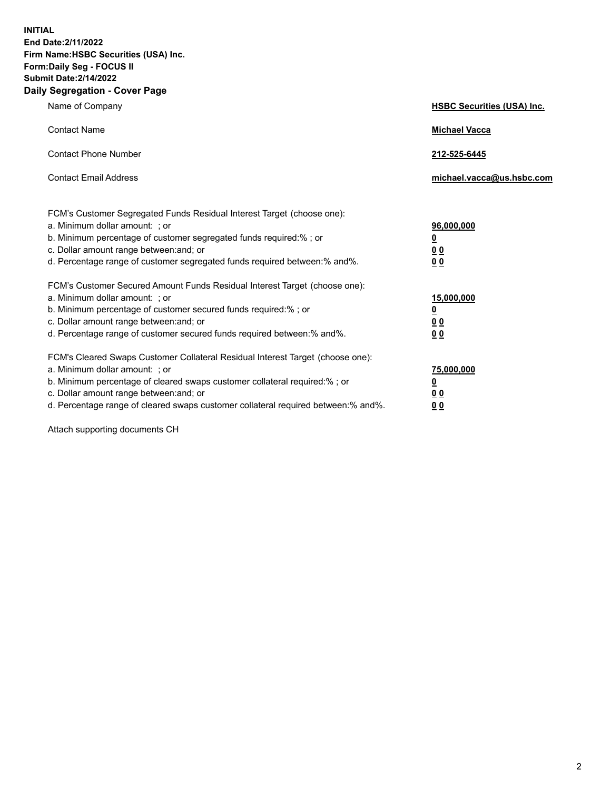**INITIAL End Date:2/11/2022 Firm Name:HSBC Securities (USA) Inc. Form:Daily Seg - FOCUS II Submit Date:2/14/2022 Daily Segregation - Cover Page**

| Name of Company                                                                                                                                                                                                                                                                                                                | <b>HSBC Securities (USA) Inc.</b>                          |
|--------------------------------------------------------------------------------------------------------------------------------------------------------------------------------------------------------------------------------------------------------------------------------------------------------------------------------|------------------------------------------------------------|
| <b>Contact Name</b>                                                                                                                                                                                                                                                                                                            | <b>Michael Vacca</b>                                       |
| <b>Contact Phone Number</b>                                                                                                                                                                                                                                                                                                    | 212-525-6445                                               |
| <b>Contact Email Address</b>                                                                                                                                                                                                                                                                                                   | michael.vacca@us.hsbc.com                                  |
| FCM's Customer Segregated Funds Residual Interest Target (choose one):<br>a. Minimum dollar amount: : or<br>b. Minimum percentage of customer segregated funds required:% ; or<br>c. Dollar amount range between: and; or<br>d. Percentage range of customer segregated funds required between:% and%.                         | 96,000,000<br><u>0</u><br>0 <sub>0</sub><br>0 <sub>0</sub> |
| FCM's Customer Secured Amount Funds Residual Interest Target (choose one):<br>a. Minimum dollar amount: ; or<br>b. Minimum percentage of customer secured funds required:%; or<br>c. Dollar amount range between: and; or<br>d. Percentage range of customer secured funds required between:% and%.                            | 15,000,000<br><u>0</u><br>0 <sub>0</sub><br>00             |
| FCM's Cleared Swaps Customer Collateral Residual Interest Target (choose one):<br>a. Minimum dollar amount: ; or<br>b. Minimum percentage of cleared swaps customer collateral required:% ; or<br>c. Dollar amount range between: and; or<br>d. Percentage range of cleared swaps customer collateral required between:% and%. | 75,000,000<br><u>0</u><br><u>00</u><br>00                  |

Attach supporting documents CH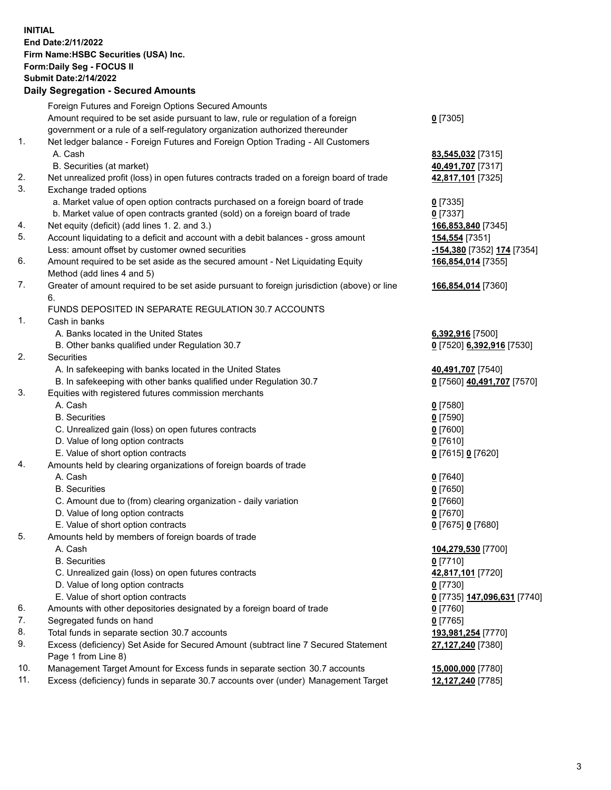**INITIAL End Date:2/11/2022 Firm Name:HSBC Securities (USA) Inc. Form:Daily Seg - FOCUS II Submit Date:2/14/2022**

## **Daily Segregation - Secured Amounts** Foreign Futures and Foreign Options Secured Amounts Amount required to be set aside pursuant to law, rule or regulation of a foreign government or a rule of a self-regulatory organization authorized thereunder 1. Net ledger balance - Foreign Futures and Foreign Option Trading - All Customers A. Cash **83,545,032** [7315] B. Securities (at market) **40,491,707** [7317] 2. Net unrealized profit (loss) in open futures contracts traded on a foreign board of trade **42,817,101** [7325] 3. Exchange traded options a. Market value of open option contracts purchased on a foreign board of trade **0** [7335] b. Market value of open contracts granted (sold) on a foreign board of trade **0** [7337] 4. Net equity (deficit) (add lines 1. 2. and 3.) **166,853,840** [7345] 5. Account liquidating to a deficit and account with a debit balances - gross amount **154,554** [7351] Less: amount offset by customer owned securities **-154,380** [7352] **174** [7354] 6. Amount required to be set aside as the secured amount - Net Liquidating Equity Method (add lines 4 and 5) 7. Greater of amount required to be set aside pursuant to foreign jurisdiction (above) or line 6. FUNDS DEPOSITED IN SEPARATE REGULATION 30.7 ACCOUNTS 1. Cash in banks A. Banks located in the United States **6,392,916** [7500] B. Other banks qualified under Regulation 30.7 **0** [7520] **6,392,916** [7530] 2. Securities A. In safekeeping with banks located in the United States **40,491,707** [7540] B. In safekeeping with other banks qualified under Regulation 30.7 **0** [7560] **40,491,707** [7570] 3. Equities with registered futures commission merchants A. Cash **0** [7580] B. Securities **0** [7590]

- C. Unrealized gain (loss) on open futures contracts **0** [7600]
- D. Value of long option contracts **0** [7610]
- E. Value of short option contracts **0** [7615] **0** [7620]
- 4. Amounts held by clearing organizations of foreign boards of trade
	- A. Cash **0** [7640]
	- B. Securities **0** [7650]
	- C. Amount due to (from) clearing organization daily variation **0** [7660]
	- D. Value of long option contracts **0** [7670]
	- E. Value of short option contracts **0** [7675] **0** [7680]
- 5. Amounts held by members of foreign boards of trade
	-
	- B. Securities **0** [7710]
	- C. Unrealized gain (loss) on open futures contracts **42,817,101** [7720]
	- D. Value of long option contracts **0** [7730]
	- E. Value of short option contracts **0** [7735] **147,096,631** [7740]
- 6. Amounts with other depositories designated by a foreign board of trade **0** [7760]
- 7. Segregated funds on hand **0** [7765]
- 8. Total funds in separate section 30.7 accounts **193,981,254** [7770]
- 9. Excess (deficiency) Set Aside for Secured Amount (subtract line 7 Secured Statement Page 1 from Line 8)
- 10. Management Target Amount for Excess funds in separate section 30.7 accounts **15,000,000** [7780]
- 11. Excess (deficiency) funds in separate 30.7 accounts over (under) Management Target **12,127,240** [7785]
- 
- 

**0** [7305]

**166,854,014** [7355]

## **166,854,014** [7360]

- 
- -
- 
- A. Cash **104,279,530** [7700] **27,127,240** [7380]
	-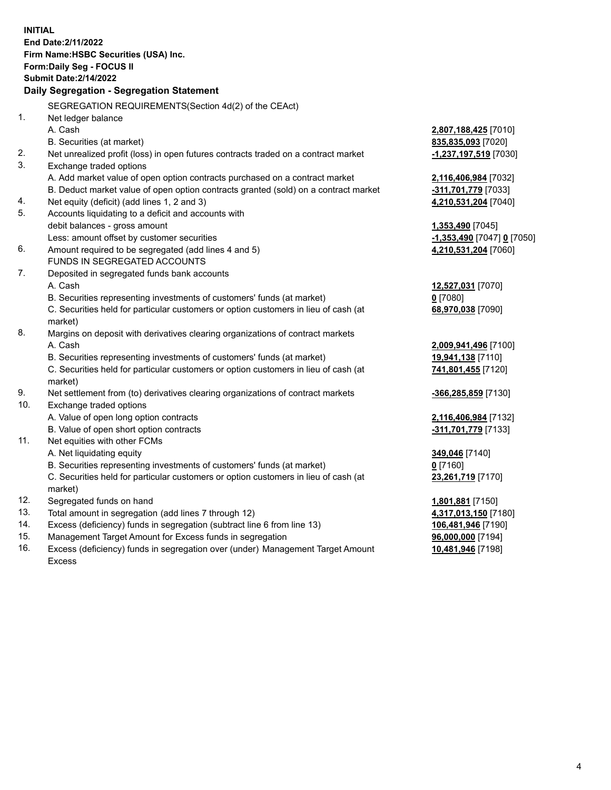**INITIAL End Date:2/11/2022 Firm Name:HSBC Securities (USA) Inc. Form:Daily Seg - FOCUS II Submit Date:2/14/2022 Daily Segregation - Segregation Statement** SEGREGATION REQUIREMENTS(Section 4d(2) of the CEAct) 1. Net ledger balance A. Cash **2,807,188,425** [7010] B. Securities (at market) **835,835,093** [7020] 2. Net unrealized profit (loss) in open futures contracts traded on a contract market **-1,237,197,519** [7030] 3. Exchange traded options A. Add market value of open option contracts purchased on a contract market **2,116,406,984** [7032] B. Deduct market value of open option contracts granted (sold) on a contract market **-311,701,779** [7033] 4. Net equity (deficit) (add lines 1, 2 and 3) **4,210,531,204** [7040] 5. Accounts liquidating to a deficit and accounts with debit balances - gross amount **1,353,490** [7045] Less: amount offset by customer securities **-1,353,490** [7047] **0** [7050] 6. Amount required to be segregated (add lines 4 and 5) **4,210,531,204** [7060] FUNDS IN SEGREGATED ACCOUNTS 7. Deposited in segregated funds bank accounts A. Cash **12,527,031** [7070] B. Securities representing investments of customers' funds (at market) **0** [7080] C. Securities held for particular customers or option customers in lieu of cash (at market) **68,970,038** [7090] 8. Margins on deposit with derivatives clearing organizations of contract markets A. Cash **2,009,941,496** [7100] B. Securities representing investments of customers' funds (at market) **19,941,138** [7110] C. Securities held for particular customers or option customers in lieu of cash (at market) **741,801,455** [7120] 9. Net settlement from (to) derivatives clearing organizations of contract markets **-366,285,859** [7130] 10. Exchange traded options A. Value of open long option contracts **2,116,406,984** [7132] B. Value of open short option contracts **-311,701,779** [7133] 11. Net equities with other FCMs A. Net liquidating equity **349,046** [7140] B. Securities representing investments of customers' funds (at market) **0** [7160] C. Securities held for particular customers or option customers in lieu of cash (at market) **23,261,719** [7170] 12. Segregated funds on hand **1,801,881** [7150] 13. Total amount in segregation (add lines 7 through 12) **4,317,013,150** [7180] 14. Excess (deficiency) funds in segregation (subtract line 6 from line 13) **106,481,946** [7190] 15. Management Target Amount for Excess funds in segregation **96,000,000** [7194] 16. Excess (deficiency) funds in segregation over (under) Management Target Amount **10,481,946** [7198]

Excess